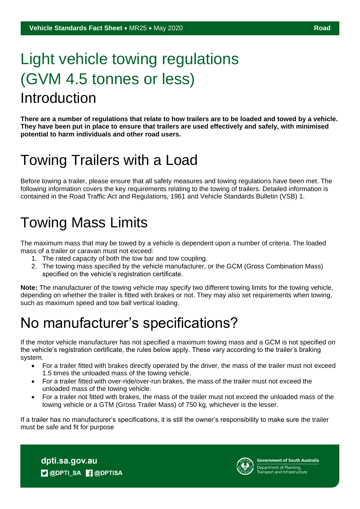# Light vehicle towing regulations (GVM 4.5 tonnes or less) Introduction

**There are a number of regulations that relate to how trailers are to be loaded and towed by a vehicle. They have been put in place to ensure that trailers are used effectively and safely, with minimised potential to harm individuals and other road users.**

# Towing Trailers with a Load

Before towing a trailer, please ensure that all safety measures and towing regulations have been met. The following information covers the key requirements relating to the towing of trailers. Detailed information is contained in the Road Traffic Act and Regulations, 1961 and Vehicle Standards Bulletin (VSB) 1.

# Towing Mass Limits

The maximum mass that may be towed by a vehicle is dependent upon a number of criteria. The loaded mass of a trailer or caravan must not exceed:

- 1. The rated capacity of both the tow bar and tow coupling.
- 2. The towing mass specified by the vehicle manufacturer, or the GCM (Gross Combination Mass) specified on the vehicle's registration certificate.

**Note:** The manufacturer of the towing vehicle may specify two different towing limits for the towing vehicle, depending on whether the trailer is fitted with brakes or not. They may also set requirements when towing, such as maximum speed and tow ball vertical loading.

# No manufacturer's specifications?

If the motor vehicle manufacturer has not specified a maximum towing mass and a GCM is not specified on the vehicle's registration certificate, the rules below apply. These vary according to the trailer's braking system.

- For a trailer fitted with brakes directly operated by the driver, the mass of the trailer must not exceed 1.5 times the unloaded mass of the towing vehicle.
- For a trailer fitted with over-ride/over-run brakes, the mass of the trailer must not exceed the unloaded mass of the towing vehicle.
- For a trailer not fitted with brakes, the mass of the trailer must not exceed the unloaded mass of the towing vehicle or a GTM (Gross Trailer Mass) of 750 kg, whichever is the lesser.

If a trailer has no manufacturer's specifications, it is still the owner's responsibility to make sure the trailer must be safe and fit for purpose

dpti.sa.gov.au **D** @DPTI\_SA **R** @DPTISA



**Government of South Australia** Department of Planning,<br>Transport and Infrastructure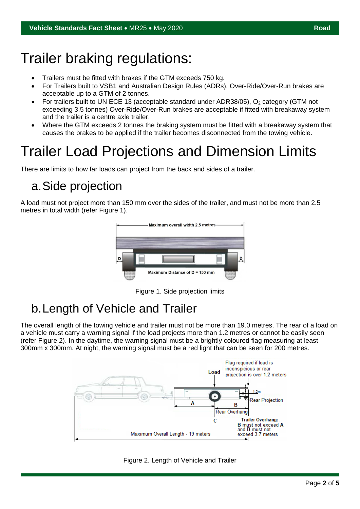### Trailer braking regulations:

- Trailers must be fitted with brakes if the GTM exceeds 750 kg.
- For Trailers built to VSB1 and Australian Design Rules (ADRs), Over-Ride/Over-Run brakes are acceptable up to a GTM of 2 tonnes.
- For trailers built to UN ECE 13 (acceptable standard under ADR38/05),  $O<sub>2</sub>$  category (GTM not exceeding 3.5 tonnes) Over-Ride/Over-Run brakes are acceptable if fitted with breakaway system and the trailer is a centre axle trailer.
- Where the GTM exceeds 2 tonnes the braking system must be fitted with a breakaway system that causes the brakes to be applied if the trailer becomes disconnected from the towing vehicle.

# Trailer Load Projections and Dimension Limits

There are limits to how far loads can project from the back and sides of a trailer.

### a.Side projection

A load must not project more than 150 mm over the sides of the trailer, and must not be more than 2.5 metres in total width (refer Figure 1).



Figure 1. Side projection limits

### b.Length of Vehicle and Trailer

The overall length of the towing vehicle and trailer must not be more than 19.0 metres. The rear of a load on a vehicle must carry a warning signal if the load projects more than 1.2 metres or cannot be easily seen (refer Figure 2). In the daytime, the warning signal must be a brightly coloured flag measuring at least 300mm x 300mm. At night, the warning signal must be a red light that can be seen for 200 metres.



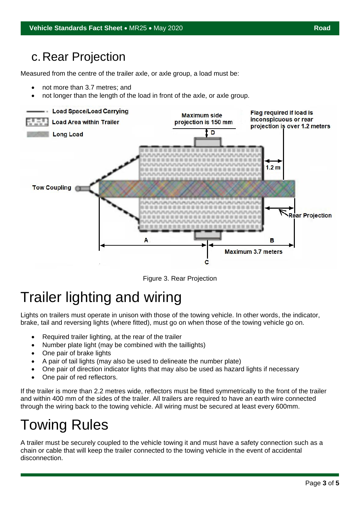#### c.Rear Projection

Measured from the centre of the trailer axle, or axle group, a load must be:

- not more than 3.7 metres; and
- not longer than the length of the load in front of the axle, or axle group.



Figure 3. Rear Projection

### Trailer lighting and wiring

Lights on trailers must operate in unison with those of the towing vehicle. In other words, the indicator, brake, tail and reversing lights (where fitted), must go on when those of the towing vehicle go on.

- Required trailer lighting, at the rear of the trailer
- Number plate light (may be combined with the taillights)
- One pair of brake lights
- A pair of tail lights (may also be used to delineate the number plate)
- One pair of direction indicator lights that may also be used as hazard lights if necessary
- One pair of red reflectors.

If the trailer is more than 2.2 metres wide, reflectors must be fitted symmetrically to the front of the trailer and within 400 mm of the sides of the trailer. All trailers are required to have an earth wire connected through the wiring back to the towing vehicle. All wiring must be secured at least every 600mm.

### Towing Rules

A trailer must be securely coupled to the vehicle towing it and must have a safety connection such as a chain or cable that will keep the trailer connected to the towing vehicle in the event of accidental disconnection.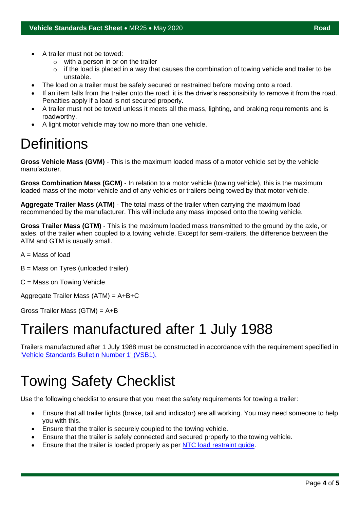- A trailer must not be towed:
	- $\circ$  with a person in or on the trailer
	- $\circ$  if the load is placed in a way that causes the combination of towing vehicle and trailer to be unstable.
- The load on a trailer must be safely secured or restrained before moving onto a road.
- If an item falls from the trailer onto the road, it is the driver's responsibility to remove it from the road. Penalties apply if a load is not secured properly.
- A trailer must not be towed unless it meets all the mass, lighting, and braking requirements and is roadworthy.
- A light motor vehicle may tow no more than one vehicle.

## **Definitions**

**Gross Vehicle Mass (GVM)** - This is the maximum loaded mass of a motor vehicle set by the vehicle manufacturer.

**Gross Combination Mass (GCM)** - In relation to a motor vehicle (towing vehicle), this is the maximum loaded mass of the motor vehicle and of any vehicles or trailers being towed by that motor vehicle.

**Aggregate Trailer Mass (ATM)** - The total mass of the trailer when carrying the maximum load recommended by the manufacturer. This will include any mass imposed onto the towing vehicle.

**Gross Trailer Mass (GTM)** - This is the maximum loaded mass transmitted to the ground by the axle, or axles, of the trailer when coupled to a towing vehicle. Except for semi-trailers, the difference between the ATM and GTM is usually small.

 $A = Mass$  of load

B = Mass on Tyres (unloaded trailer)

C = Mass on Towing Vehicle

Aggregate Trailer Mass (ATM) = A+B+C

Gross Trailer Mass (GTM) = A+B

### Trailers manufactured after 1 July 1988

Trailers manufactured after 1 July 1988 must be constructed in accordance with the requirement specified in ['Vehicle Standards Bulletin Number 1' \(VSB1\).](https://www.infrastructure.gov.au/vehicles/vehicle_regulation/bulletin/vsb1/index.aspx)

### Towing Safety Checklist

Use the following checklist to ensure that you meet the safety requirements for towing a trailer:

- Ensure that all trailer lights (brake, tail and indicator) are all working. You may need someone to help you with this.
- Ensure that the trailer is securely coupled to the towing vehicle.
- Ensure that the trailer is safely connected and secured properly to the towing vehicle.
- Ensure that the trailer is loaded properly as per [NTC load restraint guide.](https://www.ntc.gov.au/sites/default/files/assets/files/Load-Restraint-Guide-for-light-vehicles-2018.pdf)